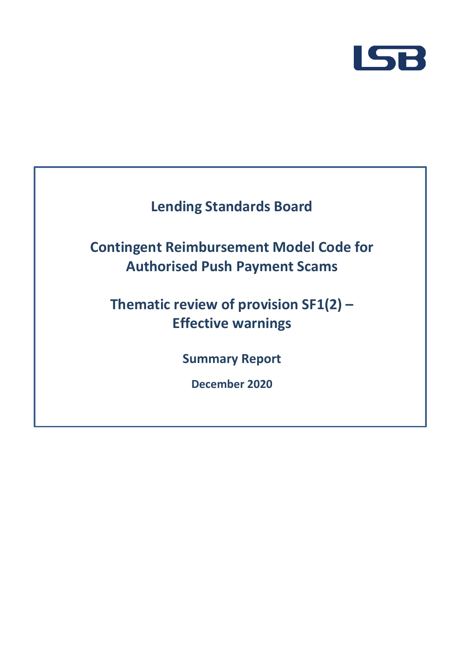

# **Lending Standards Board**

# **Contingent Reimbursement Model Code for Authorised Push Payment Scams**

# **Thematic review of provision SF1(2) – Effective warnings**

**Summary Report**

**December 2020**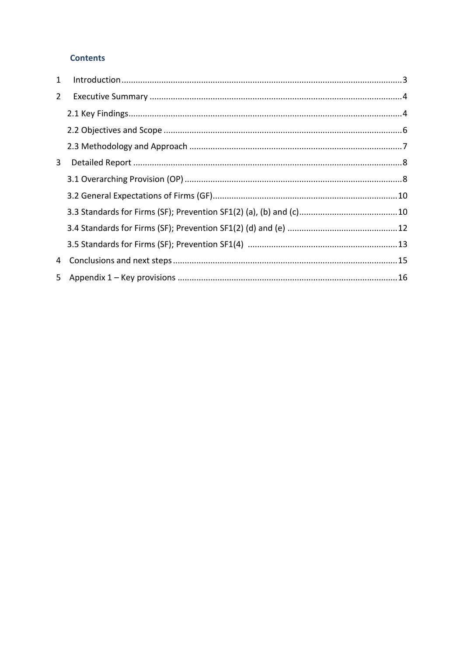#### **Contents**

| 1           |  |
|-------------|--|
| $2^{\circ}$ |  |
|             |  |
|             |  |
|             |  |
| 3           |  |
|             |  |
|             |  |
|             |  |
|             |  |
|             |  |
| 4           |  |
|             |  |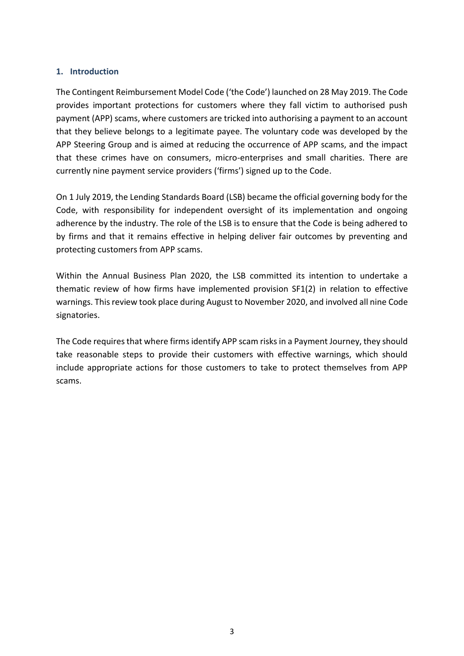#### <span id="page-2-0"></span>**1. Introduction**

The Contingent Reimbursement Model Code ('the Code') launched on 28 May 2019. The Code provides important protections for customers where they fall victim to authorised push payment (APP) scams, where customers are tricked into authorising a payment to an account that they believe belongs to a legitimate payee. The voluntary code was developed by the APP Steering Group and is aimed at reducing the occurrence of APP scams, and the impact that these crimes have on consumers, micro-enterprises and small charities. There are currently nine payment service providers ('firms') signed up to the Code.

On 1 July 2019, the Lending Standards Board (LSB) became the official governing body for the Code, with responsibility for independent oversight of its implementation and ongoing adherence by the industry. The role of the LSB is to ensure that the Code is being adhered to by firms and that it remains effective in helping deliver fair outcomes by preventing and protecting customers from APP scams.

Within the Annual Business Plan 2020, the LSB committed its intention to undertake a thematic review of how firms have implemented provision SF1(2) in relation to effective warnings. This review took place during August to November 2020, and involved all nine Code signatories.

The Code requires that where firms identify APP scam risks in a Payment Journey, they should take reasonable steps to provide their customers with effective warnings, which should include appropriate actions for those customers to take to protect themselves from APP scams.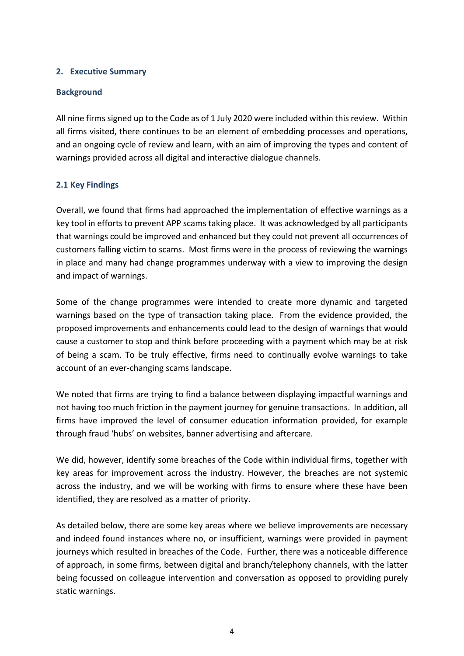#### <span id="page-3-0"></span>**2. Executive Summary**

#### **Background**

All nine firms signed up to the Code as of 1 July 2020 were included within this review. Within all firms visited, there continues to be an element of embedding processes and operations, and an ongoing cycle of review and learn, with an aim of improving the types and content of warnings provided across all digital and interactive dialogue channels.

#### <span id="page-3-1"></span>**2.1 Key Findings**

Overall, we found that firms had approached the implementation of effective warnings as a key tool in efforts to prevent APP scams taking place. It was acknowledged by all participants that warnings could be improved and enhanced but they could not prevent all occurrences of customers falling victim to scams. Most firms were in the process of reviewing the warnings in place and many had change programmes underway with a view to improving the design and impact of warnings.

Some of the change programmes were intended to create more dynamic and targeted warnings based on the type of transaction taking place. From the evidence provided, the proposed improvements and enhancements could lead to the design of warnings that would cause a customer to stop and think before proceeding with a payment which may be at risk of being a scam. To be truly effective, firms need to continually evolve warnings to take account of an ever-changing scams landscape.

We noted that firms are trying to find a balance between displaying impactful warnings and not having too much friction in the payment journey for genuine transactions. In addition, all firms have improved the level of consumer education information provided, for example through fraud 'hubs' on websites, banner advertising and aftercare.

We did, however, identify some breaches of the Code within individual firms, together with key areas for improvement across the industry. However, the breaches are not systemic across the industry, and we will be working with firms to ensure where these have been identified, they are resolved as a matter of priority.

As detailed below, there are some key areas where we believe improvements are necessary and indeed found instances where no, or insufficient, warnings were provided in payment journeys which resulted in breaches of the Code. Further, there was a noticeable difference of approach, in some firms, between digital and branch/telephony channels, with the latter being focussed on colleague intervention and conversation as opposed to providing purely static warnings.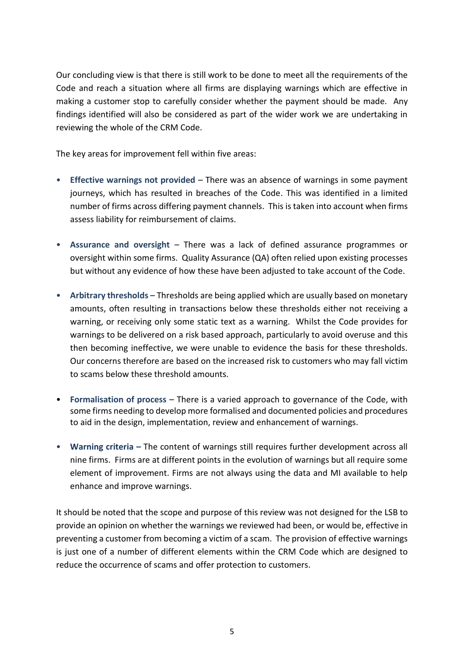Our concluding view is that there is still work to be done to meet all the requirements of the Code and reach a situation where all firms are displaying warnings which are effective in making a customer stop to carefully consider whether the payment should be made. Any findings identified will also be considered as part of the wider work we are undertaking in reviewing the whole of the CRM Code.

The key areas for improvement fell within five areas:

- **Effective warnings not provided**  There was an absence of warnings in some payment journeys, which has resulted in breaches of the Code. This was identified in a limited number of firms across differing payment channels. This is taken into account when firms assess liability for reimbursement of claims.
- **Assurance and oversight** There was a lack of defined assurance programmes or oversight within some firms. Quality Assurance (QA) often relied upon existing processes but without any evidence of how these have been adjusted to take account of the Code.
- **Arbitrary thresholds** Thresholds are being applied which are usually based on monetary amounts, often resulting in transactions below these thresholds either not receiving a warning, or receiving only some static text as a warning. Whilst the Code provides for warnings to be delivered on a risk based approach, particularly to avoid overuse and this then becoming ineffective, we were unable to evidence the basis for these thresholds. Our concerns therefore are based on the increased risk to customers who may fall victim to scams below these threshold amounts.
- **Formalisation of process** There is a varied approach to governance of the Code, with some firms needing to develop more formalised and documented policies and procedures to aid in the design, implementation, review and enhancement of warnings.
- **Warning criteria –** The content of warnings still requires further development across all nine firms. Firms are at different points in the evolution of warnings but all require some element of improvement. Firms are not always using the data and MI available to help enhance and improve warnings.

It should be noted that the scope and purpose of this review was not designed for the LSB to provide an opinion on whether the warnings we reviewed had been, or would be, effective in preventing a customer from becoming a victim of a scam. The provision of effective warnings is just one of a number of different elements within the CRM Code which are designed to reduce the occurrence of scams and offer protection to customers.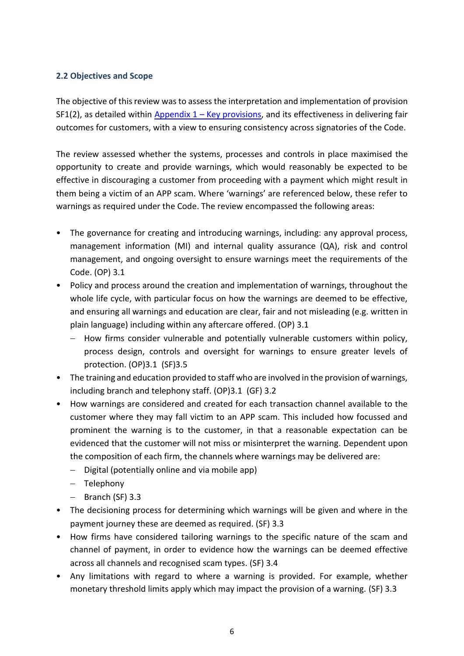#### <span id="page-5-0"></span>**2.2 Objectives and Scope**

The objective of this review was to assess the interpretation and implementation of provision SF1(2), as detailed within Appendix  $1 -$  [Key provisions,](#page-15-0) and its effectiveness in delivering fair outcomes for customers, with a view to ensuring consistency across signatories of the Code.

The review assessed whether the systems, processes and controls in place maximised the opportunity to create and provide warnings, which would reasonably be expected to be effective in discouraging a customer from proceeding with a payment which might result in them being a victim of an APP scam. Where 'warnings' are referenced below, these refer to warnings as required under the Code. The review encompassed the following areas:

- The governance for creating and introducing warnings, including: any approval process, management information (MI) and internal quality assurance (QA), risk and control management, and ongoing oversight to ensure warnings meet the requirements of the Code. (OP) 3.1
- Policy and process around the creation and implementation of warnings, throughout the whole life cycle, with particular focus on how the warnings are deemed to be effective, and ensuring all warnings and education are clear, fair and not misleading (e.g. written in plain language) including within any aftercare offered. (OP) 3.1
	- − How firms consider vulnerable and potentially vulnerable customers within policy, process design, controls and oversight for warnings to ensure greater levels of protection. (OP)3.1 (SF)3.5
- The training and education provided to staff who are involved in the provision of warnings, including branch and telephony staff. (OP)3.1 (GF) 3.2
- How warnings are considered and created for each transaction channel available to the customer where they may fall victim to an APP scam. This included how focussed and prominent the warning is to the customer, in that a reasonable expectation can be evidenced that the customer will not miss or misinterpret the warning. Dependent upon the composition of each firm, the channels where warnings may be delivered are:
	- − Digital (potentially online and via mobile app)
	- − Telephony
	- − Branch (SF) 3.3
- The decisioning process for determining which warnings will be given and where in the payment journey these are deemed as required. (SF) 3.3
- How firms have considered tailoring warnings to the specific nature of the scam and channel of payment, in order to evidence how the warnings can be deemed effective across all channels and recognised scam types. (SF) 3.4
- Any limitations with regard to where a warning is provided. For example, whether monetary threshold limits apply which may impact the provision of a warning. (SF) 3.3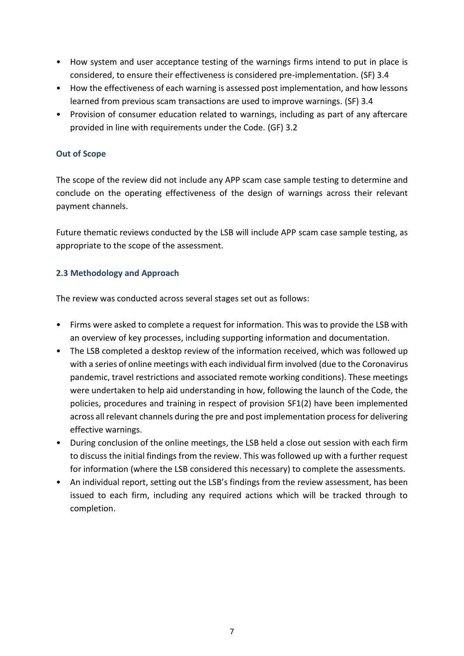- How system and user acceptance testing of the warnings firms intend to put in place is considered, to ensure their effectiveness is considered pre-implementation. (SF) 3.4
- How the effectiveness of each warning is assessed post implementation, and how lessons learned from previous scam transactions are used to improve warnings. (SF) 3.4
- Provision of consumer education related to warnings, including as part of any aftercare provided in line with requirements under the Code. (GF) 3.2

#### **Out of Scope**

The scope of the review did not include any APP scam case sample testing to determine and conclude on the operating effectiveness of the design of warnings across their relevant payment channels.

Future thematic reviews conducted by the LSB will include APP scam case sample testing, as appropriate to the scope of the assessment.

### <span id="page-6-0"></span>**2.3 Methodology and Approach**

The review was conducted across several stages set out as follows:

- Firms were asked to complete a request for information. This was to provide the LSB with an overview of key processes, including supporting information and documentation.
- The LSB completed a desktop review of the information received, which was followed up with a series of online meetings with each individual firm involved (due to the Coronavirus pandemic, travel restrictions and associated remote working conditions). These meetings were undertaken to help aid understanding in how, following the launch of the Code, the policies, procedures and training in respect of provision SF1(2) have been implemented across all relevant channels during the pre and post implementation process for delivering effective warnings.
- During conclusion of the online meetings, the LSB held a close out session with each firm to discuss the initial findings from the review. This was followed up with a further request for information (where the LSB considered this necessary) to complete the assessments.
- An individual report, setting out the LSB's findings from the review assessment, has been issued to each firm, including any required actions which will be tracked through to completion.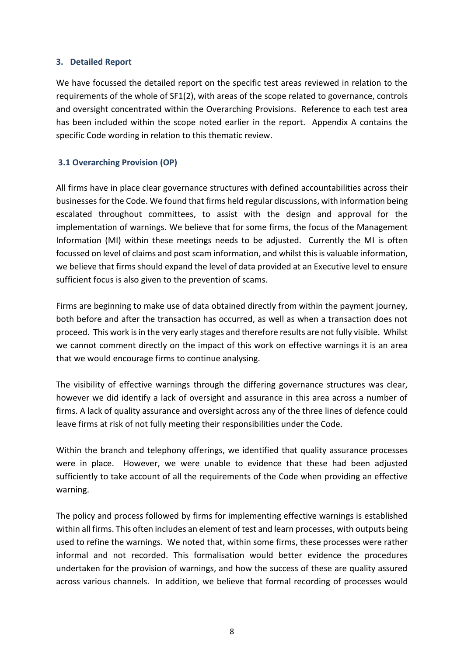#### <span id="page-7-0"></span>**3. Detailed Report**

We have focussed the detailed report on the specific test areas reviewed in relation to the requirements of the whole of SF1(2), with areas of the scope related to governance, controls and oversight concentrated within the Overarching Provisions. Reference to each test area has been included within the scope noted earlier in the report. Appendix A contains the specific Code wording in relation to this thematic review.

#### <span id="page-7-1"></span>**3.1 Overarching Provision (OP)**

All firms have in place clear governance structures with defined accountabilities across their businessesfor the Code. We found that firms held regular discussions, with information being escalated throughout committees, to assist with the design and approval for the implementation of warnings. We believe that for some firms, the focus of the Management Information (MI) within these meetings needs to be adjusted. Currently the MI is often focussed on level of claims and post scam information, and whilst this is valuable information, we believe that firms should expand the level of data provided at an Executive level to ensure sufficient focus is also given to the prevention of scams.

Firms are beginning to make use of data obtained directly from within the payment journey, both before and after the transaction has occurred, as well as when a transaction does not proceed. This work is in the very early stages and therefore results are not fully visible. Whilst we cannot comment directly on the impact of this work on effective warnings it is an area that we would encourage firms to continue analysing.

The visibility of effective warnings through the differing governance structures was clear, however we did identify a lack of oversight and assurance in this area across a number of firms. A lack of quality assurance and oversight across any of the three lines of defence could leave firms at risk of not fully meeting their responsibilities under the Code.

Within the branch and telephony offerings, we identified that quality assurance processes were in place. However, we were unable to evidence that these had been adjusted sufficiently to take account of all the requirements of the Code when providing an effective warning.

The policy and process followed by firms for implementing effective warnings is established within all firms. This often includes an element of test and learn processes, with outputs being used to refine the warnings. We noted that, within some firms, these processes were rather informal and not recorded. This formalisation would better evidence the procedures undertaken for the provision of warnings, and how the success of these are quality assured across various channels. In addition, we believe that formal recording of processes would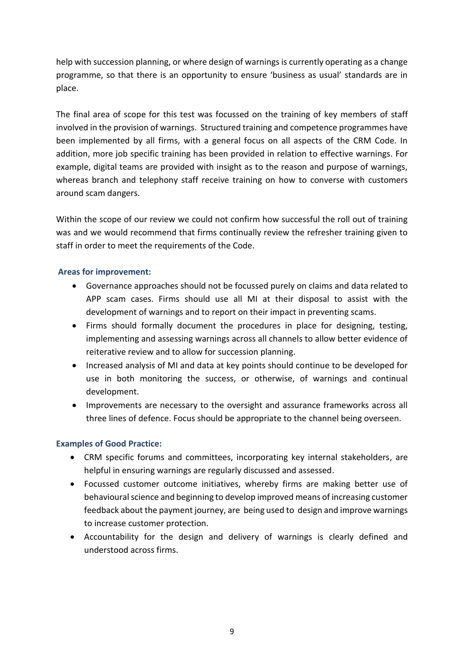help with succession planning, or where design of warnings is currently operating as a change programme, so that there is an opportunity to ensure 'business as usual' standards are in place.

The final area of scope for this test was focussed on the training of key members of staff involved in the provision of warnings. Structured training and competence programmes have been implemented by all firms, with a general focus on all aspects of the CRM Code. In addition, more job specific training has been provided in relation to effective warnings. For example, digital teams are provided with insight as to the reason and purpose of warnings, whereas branch and telephony staff receive training on how to converse with customers around scam dangers.

Within the scope of our review we could not confirm how successful the roll out of training was and we would recommend that firms continually review the refresher training given to staff in order to meet the requirements of the Code.

#### **Areas for improvement:**

- Governance approaches should not be focussed purely on claims and data related to APP scam cases. Firms should use all MI at their disposal to assist with the development of warnings and to report on their impact in preventing scams.
- Firms should formally document the procedures in place for designing, testing, implementing and assessing warnings across all channels to allow better evidence of reiterative review and to allow for succession planning.
- Increased analysis of MI and data at key points should continue to be developed for use in both monitoring the success, or otherwise, of warnings and continual development.
- Improvements are necessary to the oversight and assurance frameworks across all three lines of defence. Focus should be appropriate to the channel being overseen.

#### **Examples of Good Practice:**

- CRM specific forums and committees, incorporating key internal stakeholders, are helpful in ensuring warnings are regularly discussed and assessed.
- Focussed customer outcome initiatives, whereby firms are making better use of behavioural science and beginning to develop improved means of increasing customer feedback about the payment journey, are being used to design and improve warnings to increase customer protection.
- Accountability for the design and delivery of warnings is clearly defined and understood across firms.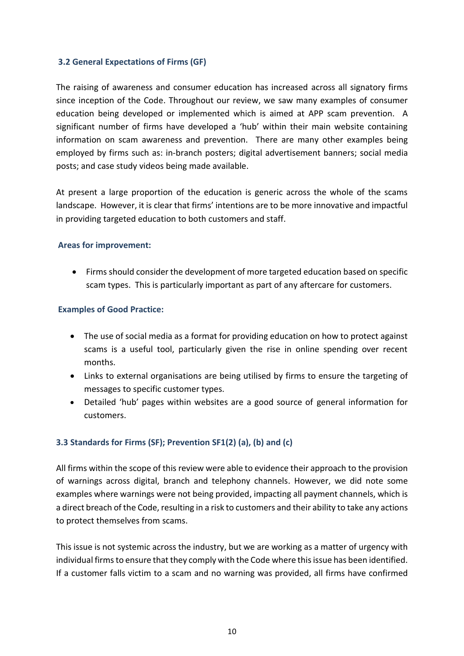#### <span id="page-9-0"></span>**3.2 General Expectations of Firms (GF)**

The raising of awareness and consumer education has increased across all signatory firms since inception of the Code. Throughout our review, we saw many examples of consumer education being developed or implemented which is aimed at APP scam prevention. A significant number of firms have developed a 'hub' within their main website containing information on scam awareness and prevention. There are many other examples being employed by firms such as: in-branch posters; digital advertisement banners; social media posts; and case study videos being made available.

At present a large proportion of the education is generic across the whole of the scams landscape. However, it is clear that firms' intentions are to be more innovative and impactful in providing targeted education to both customers and staff.

#### **Areas for improvement:**

• Firms should consider the development of more targeted education based on specific scam types. This is particularly important as part of any aftercare for customers.

#### **Examples of Good Practice:**

- The use of social media as a format for providing education on how to protect against scams is a useful tool, particularly given the rise in online spending over recent months.
- Links to external organisations are being utilised by firms to ensure the targeting of messages to specific customer types.
- Detailed 'hub' pages within websites are a good source of general information for customers.

#### <span id="page-9-1"></span>**3.3 Standards for Firms (SF); Prevention SF1(2) (a), (b) and (c)**

All firms within the scope of this review were able to evidence their approach to the provision of warnings across digital, branch and telephony channels. However, we did note some examples where warnings were not being provided, impacting all payment channels, which is a direct breach of the Code, resulting in a risk to customers and their ability to take any actions to protect themselves from scams.

This issue is not systemic across the industry, but we are working as a matter of urgency with individual firms to ensure that they comply with the Code where this issue has been identified. If a customer falls victim to a scam and no warning was provided, all firms have confirmed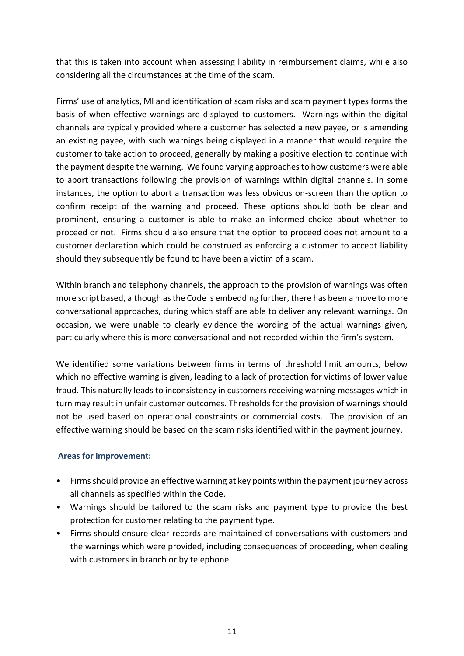that this is taken into account when assessing liability in reimbursement claims, while also considering all the circumstances at the time of the scam.

Firms' use of analytics, MI and identification of scam risks and scam payment types forms the basis of when effective warnings are displayed to customers. Warnings within the digital channels are typically provided where a customer has selected a new payee, or is amending an existing payee, with such warnings being displayed in a manner that would require the customer to take action to proceed, generally by making a positive election to continue with the payment despite the warning. We found varying approaches to how customers were able to abort transactions following the provision of warnings within digital channels. In some instances, the option to abort a transaction was less obvious on-screen than the option to confirm receipt of the warning and proceed. These options should both be clear and prominent, ensuring a customer is able to make an informed choice about whether to proceed or not. Firms should also ensure that the option to proceed does not amount to a customer declaration which could be construed as enforcing a customer to accept liability should they subsequently be found to have been a victim of a scam.

Within branch and telephony channels, the approach to the provision of warnings was often more script based, although as the Code is embedding further, there has been a move to more conversational approaches, during which staff are able to deliver any relevant warnings. On occasion, we were unable to clearly evidence the wording of the actual warnings given, particularly where this is more conversational and not recorded within the firm's system.

We identified some variations between firms in terms of threshold limit amounts, below which no effective warning is given, leading to a lack of protection for victims of lower value fraud. This naturally leads to inconsistency in customers receiving warning messages which in turn may result in unfair customer outcomes. Thresholds for the provision of warnings should not be used based on operational constraints or commercial costs. The provision of an effective warning should be based on the scam risks identified within the payment journey.

#### **Areas for improvement:**

- Firms should provide an effective warning at key points within the payment journey across all channels as specified within the Code.
- Warnings should be tailored to the scam risks and payment type to provide the best protection for customer relating to the payment type.
- Firms should ensure clear records are maintained of conversations with customers and the warnings which were provided, including consequences of proceeding, when dealing with customers in branch or by telephone.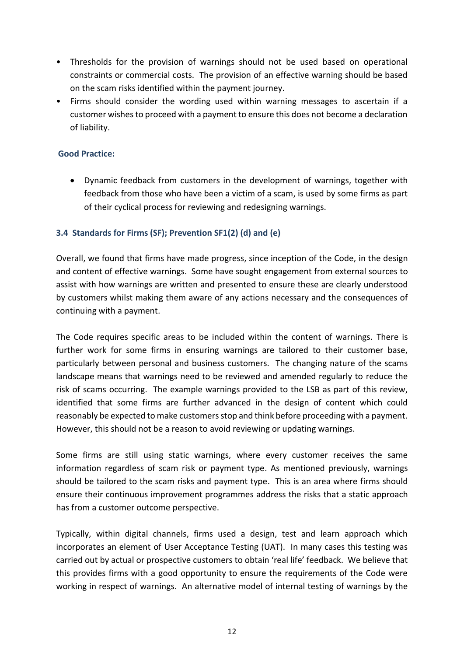- Thresholds for the provision of warnings should not be used based on operational constraints or commercial costs. The provision of an effective warning should be based on the scam risks identified within the payment journey.
- Firms should consider the wording used within warning messages to ascertain if a customer wishes to proceed with a payment to ensure this does not become a declaration of liability.

#### **Good Practice:**

• Dynamic feedback from customers in the development of warnings, together with feedback from those who have been a victim of a scam, is used by some firms as part of their cyclical process for reviewing and redesigning warnings.

#### <span id="page-11-0"></span>**3.4 Standards for Firms (SF); Prevention SF1(2) (d) and (e)**

Overall, we found that firms have made progress, since inception of the Code, in the design and content of effective warnings. Some have sought engagement from external sources to assist with how warnings are written and presented to ensure these are clearly understood by customers whilst making them aware of any actions necessary and the consequences of continuing with a payment.

The Code requires specific areas to be included within the content of warnings. There is further work for some firms in ensuring warnings are tailored to their customer base, particularly between personal and business customers. The changing nature of the scams landscape means that warnings need to be reviewed and amended regularly to reduce the risk of scams occurring. The example warnings provided to the LSB as part of this review, identified that some firms are further advanced in the design of content which could reasonably be expected to make customers stop and think before proceeding with a payment. However, this should not be a reason to avoid reviewing or updating warnings.

Some firms are still using static warnings, where every customer receives the same information regardless of scam risk or payment type. As mentioned previously, warnings should be tailored to the scam risks and payment type. This is an area where firms should ensure their continuous improvement programmes address the risks that a static approach has from a customer outcome perspective.

Typically, within digital channels, firms used a design, test and learn approach which incorporates an element of User Acceptance Testing (UAT). In many cases this testing was carried out by actual or prospective customers to obtain 'real life' feedback. We believe that this provides firms with a good opportunity to ensure the requirements of the Code were working in respect of warnings. An alternative model of internal testing of warnings by the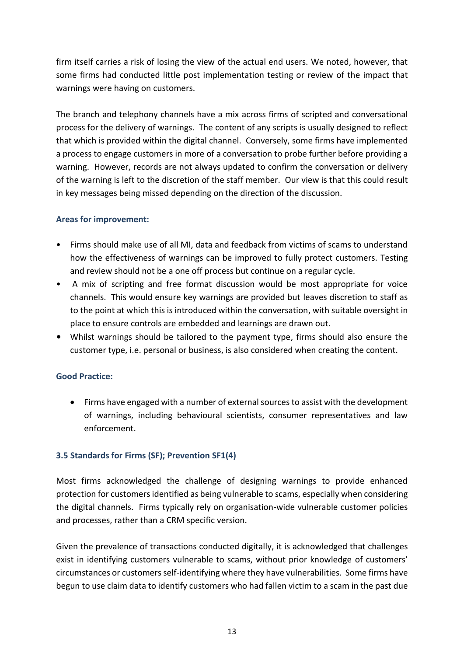firm itself carries a risk of losing the view of the actual end users. We noted, however, that some firms had conducted little post implementation testing or review of the impact that warnings were having on customers.

The branch and telephony channels have a mix across firms of scripted and conversational process for the delivery of warnings. The content of any scripts is usually designed to reflect that which is provided within the digital channel. Conversely, some firms have implemented a process to engage customers in more of a conversation to probe further before providing a warning. However, records are not always updated to confirm the conversation or delivery of the warning is left to the discretion of the staff member. Our view is that this could result in key messages being missed depending on the direction of the discussion.

#### **Areas for improvement:**

- Firms should make use of all MI, data and feedback from victims of scams to understand how the effectiveness of warnings can be improved to fully protect customers. Testing and review should not be a one off process but continue on a regular cycle.
- A mix of scripting and free format discussion would be most appropriate for voice channels. This would ensure key warnings are provided but leaves discretion to staff as to the point at which this is introduced within the conversation, with suitable oversight in place to ensure controls are embedded and learnings are drawn out.
- Whilst warnings should be tailored to the payment type, firms should also ensure the customer type, i.e. personal or business, is also considered when creating the content.

### **Good Practice:**

• Firms have engaged with a number of external sources to assist with the development of warnings, including behavioural scientists, consumer representatives and law enforcement.

### <span id="page-12-0"></span>**3.5 Standards for Firms (SF); Prevention SF1(4)**

Most firms acknowledged the challenge of designing warnings to provide enhanced protection for customersidentified as being vulnerable to scams, especially when considering the digital channels. Firms typically rely on organisation-wide vulnerable customer policies and processes, rather than a CRM specific version.

Given the prevalence of transactions conducted digitally, it is acknowledged that challenges exist in identifying customers vulnerable to scams, without prior knowledge of customers' circumstances or customers self-identifying where they have vulnerabilities. Some firms have begun to use claim data to identify customers who had fallen victim to a scam in the past due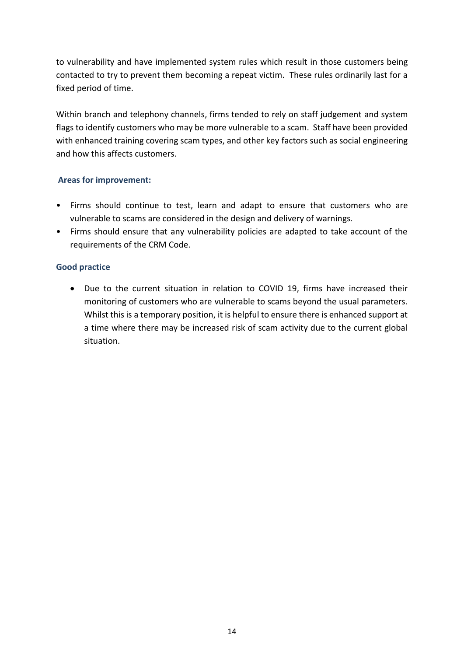to vulnerability and have implemented system rules which result in those customers being contacted to try to prevent them becoming a repeat victim. These rules ordinarily last for a fixed period of time.

Within branch and telephony channels, firms tended to rely on staff judgement and system flags to identify customers who may be more vulnerable to a scam. Staff have been provided with enhanced training covering scam types, and other key factors such as social engineering and how this affects customers.

#### **Areas for improvement:**

- Firms should continue to test, learn and adapt to ensure that customers who are vulnerable to scams are considered in the design and delivery of warnings.
- Firms should ensure that any vulnerability policies are adapted to take account of the requirements of the CRM Code.

#### **Good practice**

• Due to the current situation in relation to COVID 19, firms have increased their monitoring of customers who are vulnerable to scams beyond the usual parameters. Whilst this is a temporary position, it is helpful to ensure there is enhanced support at a time where there may be increased risk of scam activity due to the current global situation.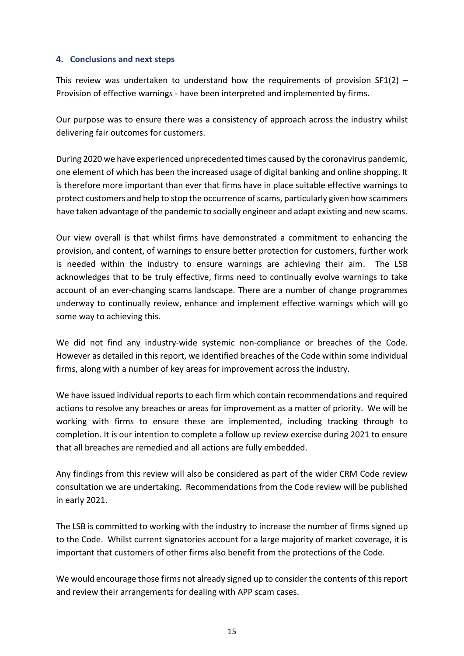#### <span id="page-14-0"></span>**4. Conclusions and next steps**

This review was undertaken to understand how the requirements of provision  $SF1(2)$  – Provision of effective warnings - have been interpreted and implemented by firms.

Our purpose was to ensure there was a consistency of approach across the industry whilst delivering fair outcomes for customers.

During 2020 we have experienced unprecedented times caused by the coronavirus pandemic, one element of which has been the increased usage of digital banking and online shopping. It is therefore more important than ever that firms have in place suitable effective warnings to protect customers and help to stop the occurrence of scams, particularly given how scammers have taken advantage of the pandemic to socially engineer and adapt existing and new scams.

Our view overall is that whilst firms have demonstrated a commitment to enhancing the provision, and content, of warnings to ensure better protection for customers, further work is needed within the industry to ensure warnings are achieving their aim. The LSB acknowledges that to be truly effective, firms need to continually evolve warnings to take account of an ever-changing scams landscape. There are a number of change programmes underway to continually review, enhance and implement effective warnings which will go some way to achieving this.

We did not find any industry-wide systemic non-compliance or breaches of the Code. However as detailed in this report, we identified breaches of the Code within some individual firms, along with a number of key areas for improvement across the industry.

We have issued individual reports to each firm which contain recommendations and required actions to resolve any breaches or areas for improvement as a matter of priority. We will be working with firms to ensure these are implemented, including tracking through to completion. It is our intention to complete a follow up review exercise during 2021 to ensure that all breaches are remedied and all actions are fully embedded.

Any findings from this review will also be considered as part of the wider CRM Code review consultation we are undertaking. Recommendations from the Code review will be published in early 2021.

The LSB is committed to working with the industry to increase the number of firms signed up to the Code. Whilst current signatories account for a large majority of market coverage, it is important that customers of other firms also benefit from the protections of the Code.

We would encourage those firms not already signed up to consider the contents of this report and review their arrangements for dealing with APP scam cases.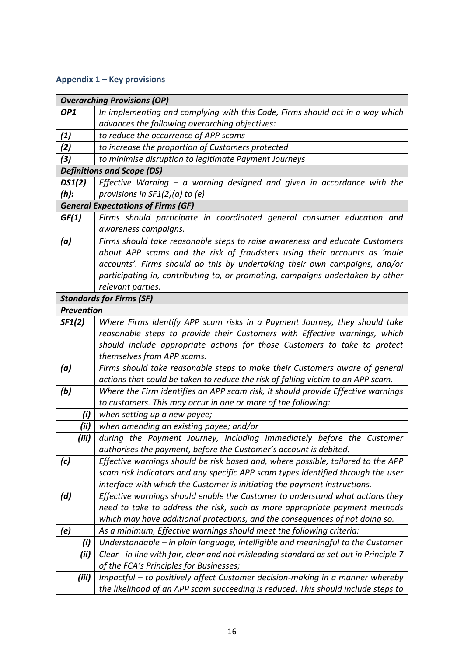## <span id="page-15-0"></span>**Appendix 1 – Key provisions**

| <b>Overarching Provisions (OP)</b>        |                                                                                                                                                             |  |  |  |
|-------------------------------------------|-------------------------------------------------------------------------------------------------------------------------------------------------------------|--|--|--|
| OP <sub>1</sub>                           | In implementing and complying with this Code, Firms should act in a way which                                                                               |  |  |  |
|                                           | advances the following overarching objectives:                                                                                                              |  |  |  |
| (1)                                       | to reduce the occurrence of APP scams                                                                                                                       |  |  |  |
| (2)                                       | to increase the proportion of Customers protected                                                                                                           |  |  |  |
| (3)                                       | to minimise disruption to legitimate Payment Journeys                                                                                                       |  |  |  |
|                                           | <b>Definitions and Scope (DS)</b>                                                                                                                           |  |  |  |
| DS1(2)                                    | Effective Warning $-$ a warning designed and given in accordance with the                                                                                   |  |  |  |
| $(h)$ :                                   | provisions in $SF1(2)(a)$ to (e)                                                                                                                            |  |  |  |
| <b>General Expectations of Firms (GF)</b> |                                                                                                                                                             |  |  |  |
| GF(1)                                     | Firms should participate in coordinated general consumer education and                                                                                      |  |  |  |
|                                           | awareness campaigns.                                                                                                                                        |  |  |  |
| (a)                                       | Firms should take reasonable steps to raise awareness and educate Customers                                                                                 |  |  |  |
|                                           | about APP scams and the risk of fraudsters using their accounts as 'mule                                                                                    |  |  |  |
|                                           | accounts'. Firms should do this by undertaking their own campaigns, and/or                                                                                  |  |  |  |
|                                           | participating in, contributing to, or promoting, campaigns undertaken by other                                                                              |  |  |  |
|                                           | relevant parties.                                                                                                                                           |  |  |  |
|                                           | <b>Standards for Firms (SF)</b>                                                                                                                             |  |  |  |
| <b>Prevention</b>                         |                                                                                                                                                             |  |  |  |
| SF1(2)                                    | Where Firms identify APP scam risks in a Payment Journey, they should take                                                                                  |  |  |  |
|                                           | reasonable steps to provide their Customers with Effective warnings, which                                                                                  |  |  |  |
|                                           | should include appropriate actions for those Customers to take to protect                                                                                   |  |  |  |
|                                           | themselves from APP scams.                                                                                                                                  |  |  |  |
| (a)                                       | Firms should take reasonable steps to make their Customers aware of general                                                                                 |  |  |  |
|                                           | actions that could be taken to reduce the risk of falling victim to an APP scam.                                                                            |  |  |  |
| (b)                                       | Where the Firm identifies an APP scam risk, it should provide Effective warnings                                                                            |  |  |  |
|                                           | to customers. This may occur in one or more of the following:                                                                                               |  |  |  |
| (i)                                       | when setting up a new payee;                                                                                                                                |  |  |  |
| (ii)                                      | when amending an existing payee; and/or                                                                                                                     |  |  |  |
| (iii)                                     | during the Payment Journey, including immediately before the Customer                                                                                       |  |  |  |
|                                           | authorises the payment, before the Customer's account is debited.                                                                                           |  |  |  |
| (c)                                       | Effective warnings should be risk based and, where possible, tailored to the APP                                                                            |  |  |  |
|                                           | scam risk indicators and any specific APP scam types identified through the user                                                                            |  |  |  |
|                                           | interface with which the Customer is initiating the payment instructions.                                                                                   |  |  |  |
| (d)                                       | Effective warnings should enable the Customer to understand what actions they<br>need to take to address the risk, such as more appropriate payment methods |  |  |  |
|                                           |                                                                                                                                                             |  |  |  |
|                                           | which may have additional protections, and the consequences of not doing so.<br>As a minimum, Effective warnings should meet the following criteria:        |  |  |  |
| (e)                                       |                                                                                                                                                             |  |  |  |
| (i)                                       | Understandable – in plain language, intelligible and meaningful to the Customer                                                                             |  |  |  |
| (ii)                                      | Clear - in line with fair, clear and not misleading standard as set out in Principle 7                                                                      |  |  |  |
|                                           | of the FCA's Principles for Businesses;                                                                                                                     |  |  |  |
| (iii)                                     | Impactful - to positively affect Customer decision-making in a manner whereby                                                                               |  |  |  |
|                                           | the likelihood of an APP scam succeeding is reduced. This should include steps to                                                                           |  |  |  |